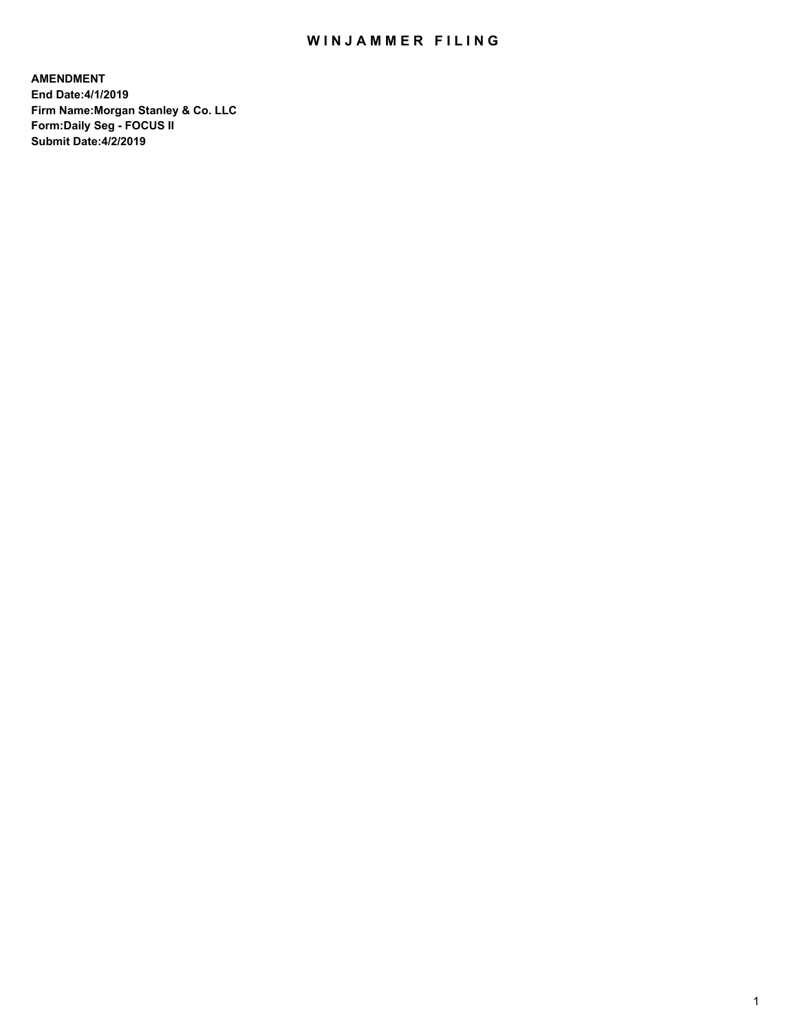## WIN JAMMER FILING

**AMENDMENT End Date:4/1/2019 Firm Name:Morgan Stanley & Co. LLC Form:Daily Seg - FOCUS II Submit Date:4/2/2019**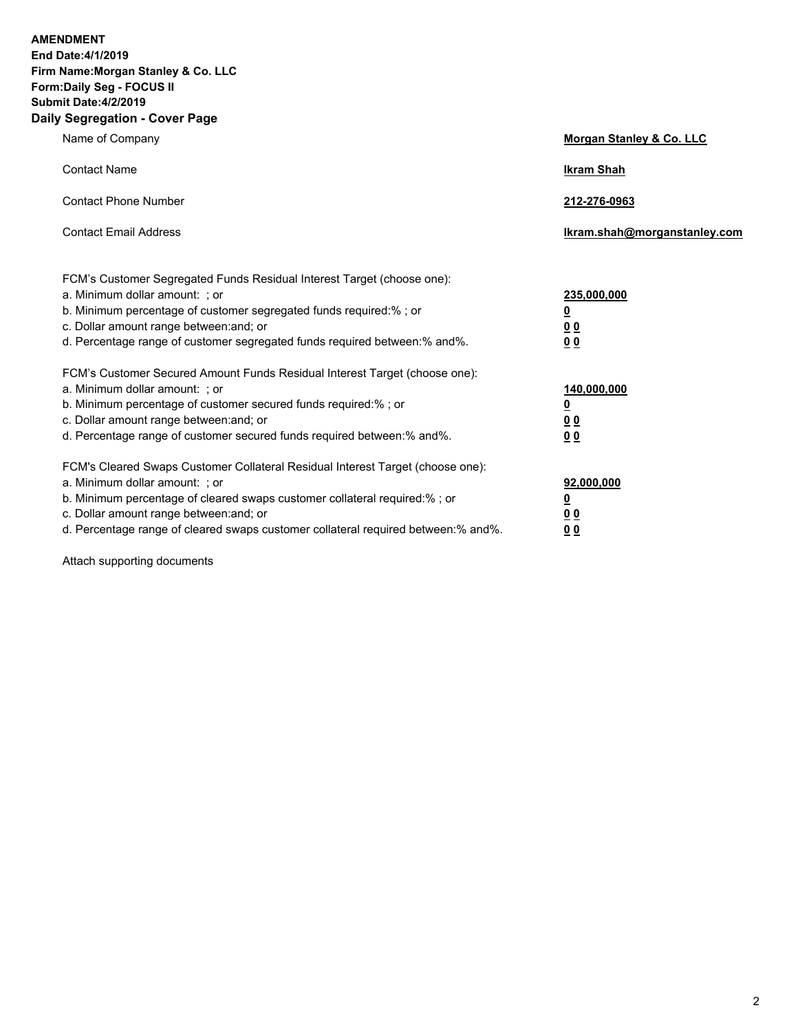**AMENDMENT** 

**End Date:4/1/2019 Firm Name:Morgan Stanley & Co. LLC Form:Daily Seg - FOCUS II Submit Date:4/2/2019 Daily Segregation - Cover Page**

| y Jegregation - Gover Fage                                                        |                              |
|-----------------------------------------------------------------------------------|------------------------------|
| Name of Company                                                                   | Morgan Stanley & Co. LLC     |
| <b>Contact Name</b>                                                               | <b>Ikram Shah</b>            |
| <b>Contact Phone Number</b>                                                       | 212-276-0963                 |
| <b>Contact Email Address</b>                                                      | Ikram.shah@morganstanley.com |
| FCM's Customer Segregated Funds Residual Interest Target (choose one):            |                              |
| a. Minimum dollar amount: ; or                                                    | 235,000,000                  |
| b. Minimum percentage of customer segregated funds required:% ; or                | <u>0</u>                     |
| c. Dollar amount range between: and; or                                           | 0 <sub>0</sub>               |
| d. Percentage range of customer segregated funds required between:% and%.         | 0 <sub>0</sub>               |
| FCM's Customer Secured Amount Funds Residual Interest Target (choose one):        |                              |
| a. Minimum dollar amount: ; or                                                    | 140,000,000                  |
| b. Minimum percentage of customer secured funds required:%; or                    | <u>0</u>                     |
| c. Dollar amount range between: and; or                                           | <u>00</u>                    |
| d. Percentage range of customer secured funds required between: % and %.          | 0 <sup>0</sup>               |
| FCM's Cleared Swaps Customer Collateral Residual Interest Target (choose one):    |                              |
| a. Minimum dollar amount: ; or                                                    | 92,000,000                   |
| b. Minimum percentage of cleared swaps customer collateral required:% ; or        | <u>0</u>                     |
| c. Dollar amount range between: and; or                                           | 00                           |
| d. Percentage range of cleared swaps customer collateral required between:% and%. | 0 <sub>0</sub>               |

Attach supporting documents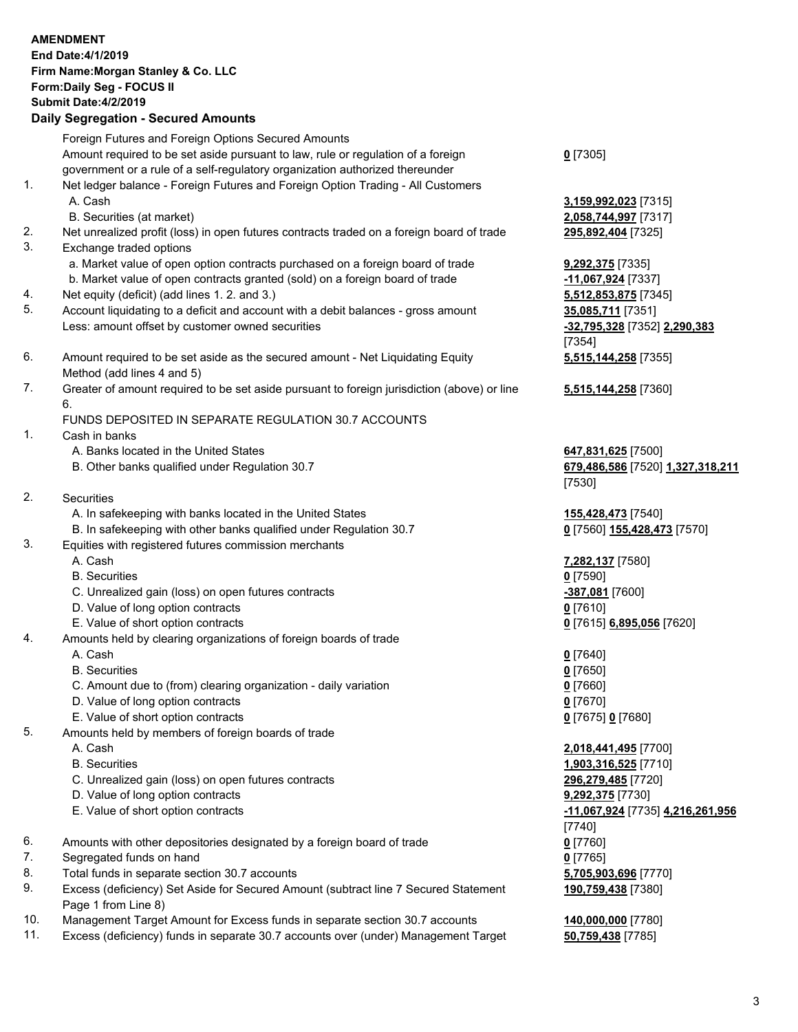|     | <b>AMENDMENT</b>                                                                            |                                  |
|-----|---------------------------------------------------------------------------------------------|----------------------------------|
|     | End Date: 4/1/2019                                                                          |                                  |
|     | Firm Name: Morgan Stanley & Co. LLC                                                         |                                  |
|     | Form: Daily Seg - FOCUS II                                                                  |                                  |
|     | <b>Submit Date: 4/2/2019</b>                                                                |                                  |
|     | <b>Daily Segregation - Secured Amounts</b>                                                  |                                  |
|     | Foreign Futures and Foreign Options Secured Amounts                                         |                                  |
|     | Amount required to be set aside pursuant to law, rule or regulation of a foreign            | $0$ [7305]                       |
|     | government or a rule of a self-regulatory organization authorized thereunder                |                                  |
| 1.  | Net ledger balance - Foreign Futures and Foreign Option Trading - All Customers             |                                  |
|     | A. Cash                                                                                     | 3,159,992,023 [7315]             |
|     | B. Securities (at market)                                                                   | 2,058,744,997 [7317]             |
| 2.  | Net unrealized profit (loss) in open futures contracts traded on a foreign board of trade   | 295,892,404 [7325]               |
| 3.  | Exchange traded options                                                                     |                                  |
|     | a. Market value of open option contracts purchased on a foreign board of trade              | 9,292,375 [7335]                 |
|     | b. Market value of open contracts granted (sold) on a foreign board of trade                | -11,067,924 [7337]               |
| 4.  | Net equity (deficit) (add lines 1.2. and 3.)                                                | 5,512,853,875 [7345]             |
| 5.  | Account liquidating to a deficit and account with a debit balances - gross amount           | 35,085,711 [7351]                |
|     | Less: amount offset by customer owned securities                                            | -32,795,328 [7352] 2,290,383     |
|     |                                                                                             | [7354]                           |
| 6.  | Amount required to be set aside as the secured amount - Net Liquidating Equity              | 5,515,144,258 [7355]             |
|     | Method (add lines 4 and 5)                                                                  |                                  |
| 7.  | Greater of amount required to be set aside pursuant to foreign jurisdiction (above) or line | 5,515,144,258 [7360]             |
|     | 6.                                                                                          |                                  |
|     | FUNDS DEPOSITED IN SEPARATE REGULATION 30.7 ACCOUNTS                                        |                                  |
| 1.  | Cash in banks                                                                               |                                  |
|     | A. Banks located in the United States                                                       | 647,831,625 [7500]               |
|     | B. Other banks qualified under Regulation 30.7                                              | 679,486,586 [7520] 1,327,318,211 |
| 2.  | Securities                                                                                  | [7530]                           |
|     | A. In safekeeping with banks located in the United States                                   | 155,428,473 [7540]               |
|     | B. In safekeeping with other banks qualified under Regulation 30.7                          | 0 [7560] 155,428,473 [7570]      |
| 3.  | Equities with registered futures commission merchants                                       |                                  |
|     | A. Cash                                                                                     | 7,282,137 [7580]                 |
|     | <b>B.</b> Securities                                                                        | $0$ [7590]                       |
|     | C. Unrealized gain (loss) on open futures contracts                                         | -387,081 [7600]                  |
|     | D. Value of long option contracts                                                           | $0$ [7610]                       |
|     | E. Value of short option contracts                                                          | 0 [7615] 6,895,056 [7620]        |
| 4.  | Amounts held by clearing organizations of foreign boards of trade                           |                                  |
|     | A. Cash                                                                                     | $0$ [7640]                       |
|     | <b>B.</b> Securities                                                                        | $0$ [7650]                       |
|     | C. Amount due to (from) clearing organization - daily variation                             | $0$ [7660]                       |
|     | D. Value of long option contracts                                                           | $0$ [7670]                       |
|     | E. Value of short option contracts                                                          | 0 [7675] 0 [7680]                |
| 5.  | Amounts held by members of foreign boards of trade                                          |                                  |
|     | A. Cash                                                                                     | 2,018,441,495 [7700]             |
|     | <b>B.</b> Securities                                                                        | 1,903,316,525 [7710]             |
|     | C. Unrealized gain (loss) on open futures contracts                                         | 296,279,485 [7720]               |
|     | D. Value of long option contracts                                                           | 9,292,375 [7730]                 |
|     | E. Value of short option contracts                                                          | -11,067,924 [7735] 4,216,261,956 |
|     |                                                                                             | [7740]                           |
| 6.  | Amounts with other depositories designated by a foreign board of trade                      | $0$ [7760]                       |
| 7.  | Segregated funds on hand                                                                    | $0$ [7765]                       |
| 8.  | Total funds in separate section 30.7 accounts                                               | 5,705,903,696 [7770]             |
| 9.  | Excess (deficiency) Set Aside for Secured Amount (subtract line 7 Secured Statement         | 190,759,438 [7380]               |
|     | Page 1 from Line 8)                                                                         |                                  |
| 10. | Management Target Amount for Excess funds in separate section 30.7 accounts                 | 140,000,000 [7780]               |
| 11. | Excess (deficiency) funds in separate 30.7 accounts over (under) Management Target          | 50,759,438 [7785]                |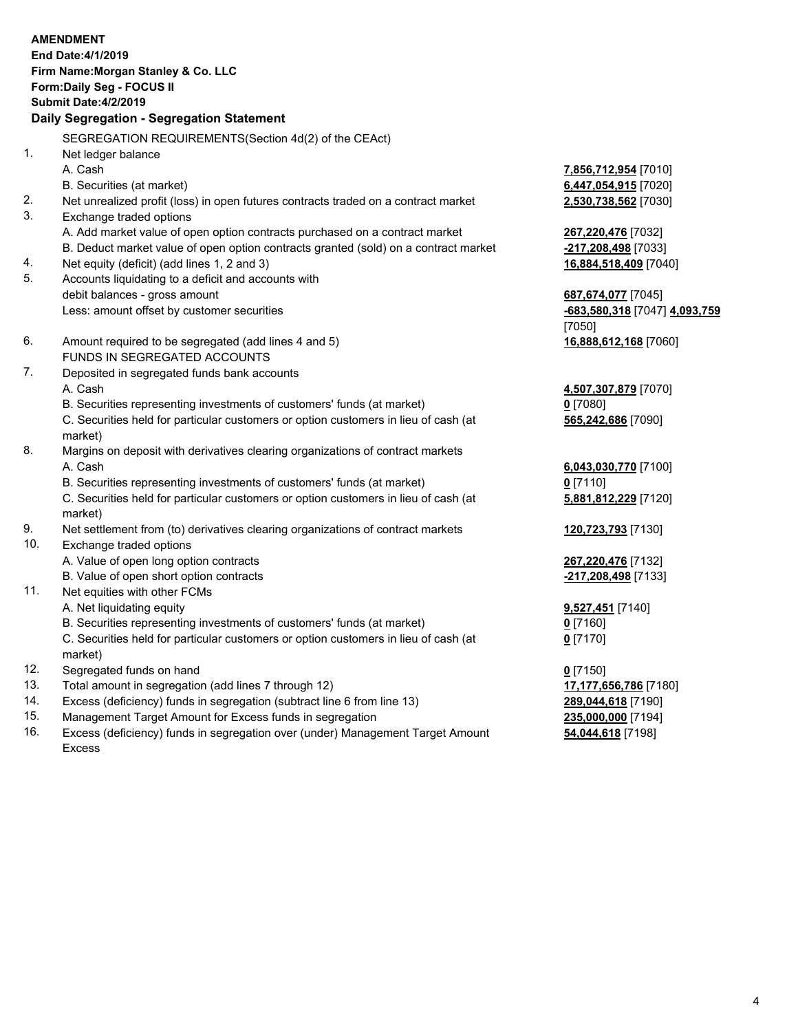|     | <b>AMENDMENT</b><br>End Date: 4/1/2019                                                    |                               |
|-----|-------------------------------------------------------------------------------------------|-------------------------------|
|     | Firm Name: Morgan Stanley & Co. LLC                                                       |                               |
|     | Form: Daily Seg - FOCUS II                                                                |                               |
|     | <b>Submit Date: 4/2/2019</b>                                                              |                               |
|     | Daily Segregation - Segregation Statement                                                 |                               |
|     | SEGREGATION REQUIREMENTS(Section 4d(2) of the CEAct)                                      |                               |
| 1.  | Net ledger balance                                                                        |                               |
|     | A. Cash                                                                                   | 7,856,712,954 [7010]          |
|     | B. Securities (at market)                                                                 | 6,447,054,915 [7020]          |
| 2.  | Net unrealized profit (loss) in open futures contracts traded on a contract market        | 2,530,738,562 [7030]          |
| 3.  | Exchange traded options                                                                   |                               |
|     | A. Add market value of open option contracts purchased on a contract market               | 267,220,476 [7032]            |
|     | B. Deduct market value of open option contracts granted (sold) on a contract market       | -217,208,498 [7033]           |
| 4.  | Net equity (deficit) (add lines 1, 2 and 3)                                               | 16,884,518,409 [7040]         |
| 5.  | Accounts liquidating to a deficit and accounts with                                       |                               |
|     | debit balances - gross amount                                                             | 687,674,077 [7045]            |
|     | Less: amount offset by customer securities                                                | -683,580,318 [7047] 4,093,759 |
|     |                                                                                           | [7050]                        |
| 6.  | Amount required to be segregated (add lines 4 and 5)                                      | 16,888,612,168 [7060]         |
|     | FUNDS IN SEGREGATED ACCOUNTS                                                              |                               |
| 7.  | Deposited in segregated funds bank accounts                                               |                               |
|     | A. Cash                                                                                   | 4,507,307,879 [7070]          |
|     | B. Securities representing investments of customers' funds (at market)                    | $0$ [7080]                    |
|     | C. Securities held for particular customers or option customers in lieu of cash (at       | 565,242,686 [7090]            |
| 8.  | market)<br>Margins on deposit with derivatives clearing organizations of contract markets |                               |
|     | A. Cash                                                                                   | 6,043,030,770 [7100]          |
|     | B. Securities representing investments of customers' funds (at market)                    | $0$ [7110]                    |
|     | C. Securities held for particular customers or option customers in lieu of cash (at       | 5,881,812,229 [7120]          |
|     | market)                                                                                   |                               |
| 9.  | Net settlement from (to) derivatives clearing organizations of contract markets           | 120,723,793 [7130]            |
| 10. | Exchange traded options                                                                   |                               |
|     | A. Value of open long option contracts                                                    | 267,220,476 [7132]            |
|     | B. Value of open short option contracts                                                   | -217,208,498 [7133]           |
| 11. | Net equities with other FCMs                                                              |                               |
|     | A. Net liquidating equity                                                                 | 9,527,451 [7140]              |
|     | B. Securities representing investments of customers' funds (at market)                    | $0$ [7160]                    |
|     | C. Securities held for particular customers or option customers in lieu of cash (at       | $0$ [7170]                    |
|     | market)                                                                                   |                               |
| 12. | Segregated funds on hand                                                                  | $0$ [7150]                    |
| 13. | Total amount in segregation (add lines 7 through 12)                                      | 17,177,656,786 [7180]         |
| 14. | Excess (deficiency) funds in segregation (subtract line 6 from line 13)                   | 289,044,618 [7190]            |

- 
- 15. Management Target Amount for Excess funds in segregation<br>16. Excess (deficiency) funds in segregation over (under) Management Target Amount **235,000,000** [7198] Excess (deficiency) funds in segregation over (under) Management Target Amount Excess

**54,044,618** [7198]